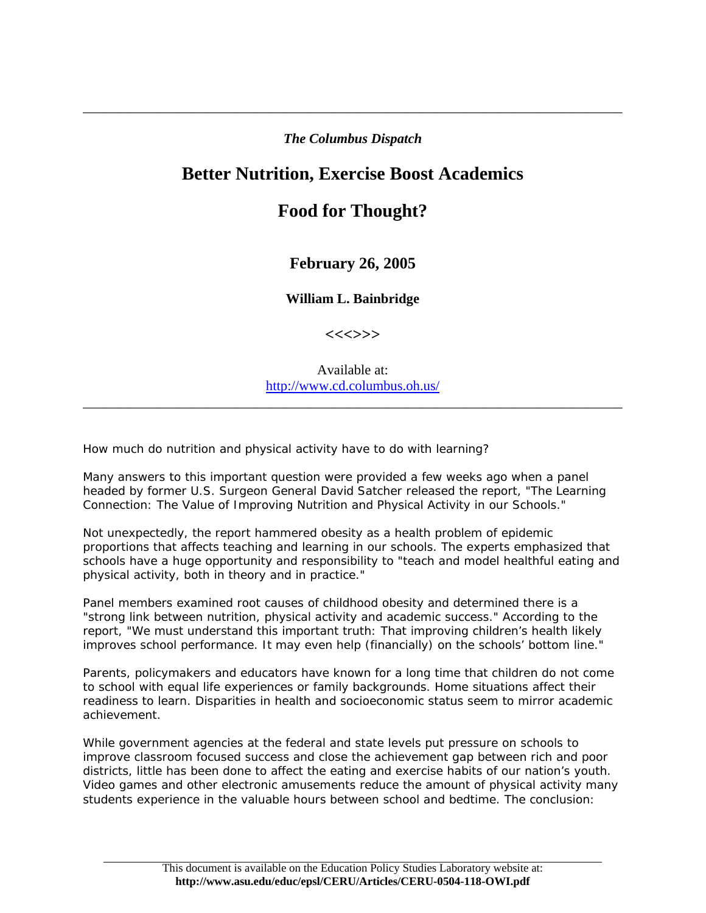## *The Columbus Dispatch*

\_\_\_\_\_\_\_\_\_\_\_\_\_\_\_\_\_\_\_\_\_\_\_\_\_\_\_\_\_\_\_\_\_\_\_\_\_\_\_\_\_\_\_\_\_\_\_\_\_\_\_\_\_\_\_\_\_\_\_\_\_\_\_\_\_\_\_\_\_\_\_\_\_\_\_\_\_\_

## **Better Nutrition, Exercise Boost Academics**

## **Food for Thought?**

## **February 26, 2005**

**William L. Bainbridge** 

**<<<>>>** 

Available at: <http://www.cd.columbus.oh.us/>

\_\_\_\_\_\_\_\_\_\_\_\_\_\_\_\_\_\_\_\_\_\_\_\_\_\_\_\_\_\_\_\_\_\_\_\_\_\_\_\_\_\_\_\_\_\_\_\_\_\_\_\_\_\_\_\_\_\_\_\_\_\_\_\_\_\_\_\_\_\_\_\_\_\_\_\_\_\_

How much do nutrition and physical activity have to do with learning?

Many answers to this important question were provided a few weeks ago when a panel headed by former U.S. Surgeon General David Satcher released the report, "The Learning Connection: The Value of Improving Nutrition and Physical Activity in our Schools."

Not unexpectedly, the report hammered obesity as a health problem of epidemic proportions that affects teaching and learning in our schools. The experts emphasized that schools have a huge opportunity and responsibility to "teach and model healthful eating and physical activity, both in theory and in practice."

Panel members examined root causes of childhood obesity and determined there is a "strong link between nutrition, physical activity and academic success." According to the report, "We must understand this important truth: That improving children's health likely improves school performance. It may even help (financially) on the schools' bottom line."

Parents, policymakers and educators have known for a long time that children do not come to school with equal life experiences or family backgrounds. Home situations affect their readiness to learn. Disparities in health and socioeconomic status seem to mirror academic achievement.

While government agencies at the federal and state levels put pressure on schools to improve classroom focused success and close the achievement gap between rich and poor districts, little has been done to affect the eating and exercise habits of our nation's youth. Video games and other electronic amusements reduce the amount of physical activity many students experience in the valuable hours between school and bedtime. The conclusion: